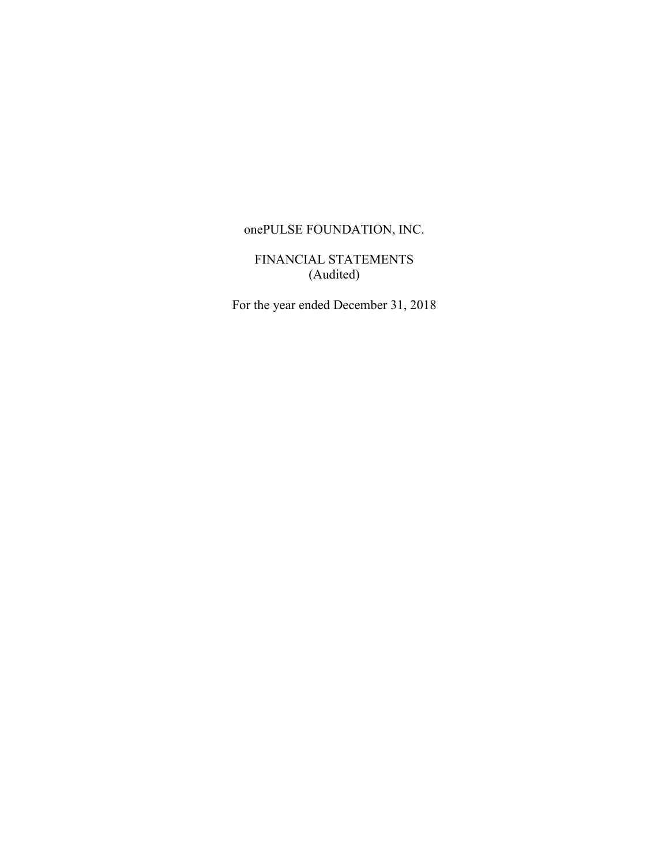## onePULSE FOUNDATION, INC.

## FINANCIAL STATEMENTS (Audited)

For the year ended December 31, 2018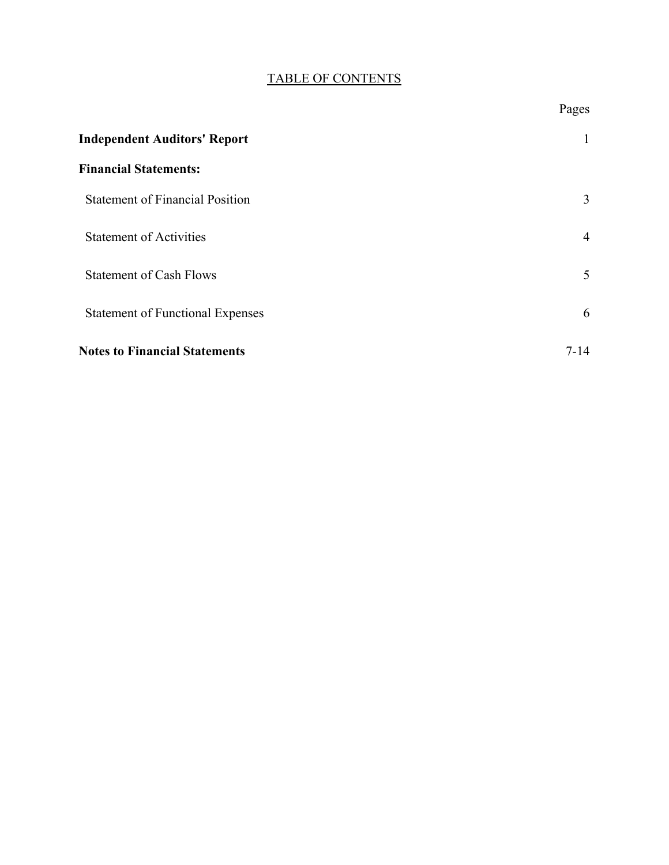## TABLE OF CONTENTS

|                                         | Pages    |
|-----------------------------------------|----------|
| <b>Independent Auditors' Report</b>     |          |
| <b>Financial Statements:</b>            |          |
| <b>Statement of Financial Position</b>  | 3        |
| <b>Statement of Activities</b>          | 4        |
| <b>Statement of Cash Flows</b>          | 5        |
| <b>Statement of Functional Expenses</b> | 6        |
| <b>Notes to Financial Statements</b>    | $7 - 14$ |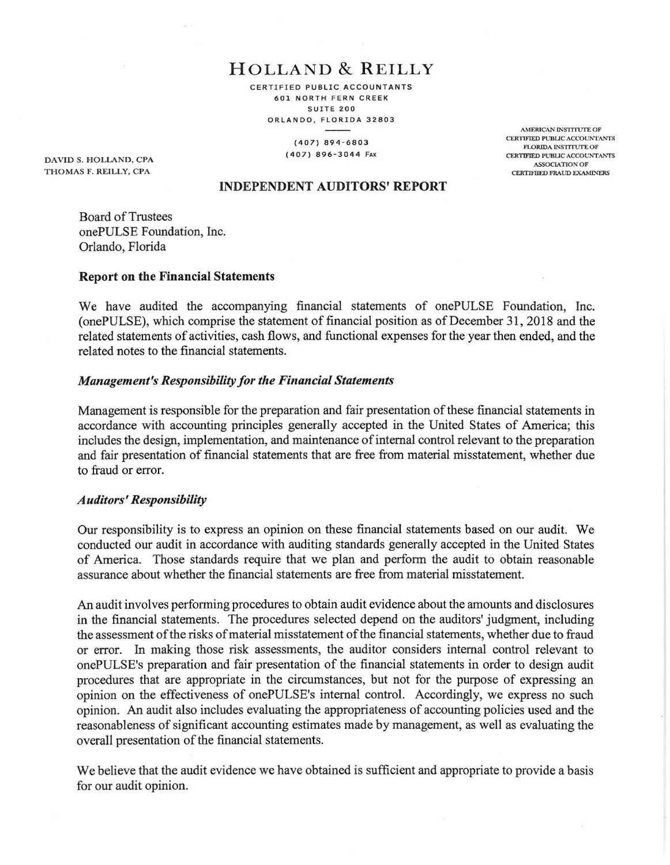**HOLLAND & REILLY** 

CERTIFIED PUBLIC ACCOUNTANTS 601 NORTH FERN CREEK SUITE 200 ORLANDO, FLORIDA 32803

> (407) 894 - 6803 (407) 896-3044 FAX

DAVID S. HOLLAND, CPA THOMAS F. REILLY, CPA

CERTIFIED PUBLIC ACCOUNTANTS FLORIDA INSTITUTE OF CERTIFIED PUBLIC ACCOUNTANTS ASSOCIATION OF CERTIFIIED FRAUD EXAMINERS

AMERICAN INSTITUTE OF

#### **INDEPENDENT AUDITORS' REPORT**

Board of Trustees onePULSE Foundation, Inc. Orlando, Florida

#### **Report on the Financial Statements**

We have audited the accompanying financial statements of onePULSE Foundation, Inc. ( onePULSE), which comprise the statement of financial position as of December 31, 2018 and the related statements of activities, cash flows, and functional expenses for the year then ended, and the related notes to the financial statements.

#### *Management's Responsibility for the Financial Statements*

Management is responsible for the preparation and fair presentation of these financial statements in accordance with accounting principles generally accepted in the United States of America; this includes the design, implementation, and maintenance of internal control relevant to the preparation and fair presentation of financial statements that are free from material misstatement, whether due to fraud or error.

#### *Auditors' Responsibility*

Our responsibility is to express an opinion on these financial statements based on our audit. We conducted our audit in accordance with auditing standards generally accepted in the United States of America. Those standards require that we plan and perform the audit to obtain reasonable assurance about whether the financial statements are free from material misstatement.

An audit involves performing procedures to obtain audit evidence about the amounts and disclosures in the financial statements. The procedures selected depend on the auditors' judgment, including the assessment of the risks of material misstatement of the financial statements, whether due to fraud or error. In making those risk assessments, the auditor considers internal control relevant to onePULSE's preparation and fair presentation of the financial statements in order to design audit procedures that are appropriate in the circumstances, but not for the purpose of expressing an opinion on the effectiveness of onePULSE's internal control. Accordingly, we express no such opinion. An audit also includes evaluating the appropriateness of accounting policies used and the reasonableness of significant accounting estimates made by management, as well as evaluating the overall presentation of the financial statements.

We believe that the audit evidence we have obtained is sufficient and appropriate to provide a basis for our audit opinion.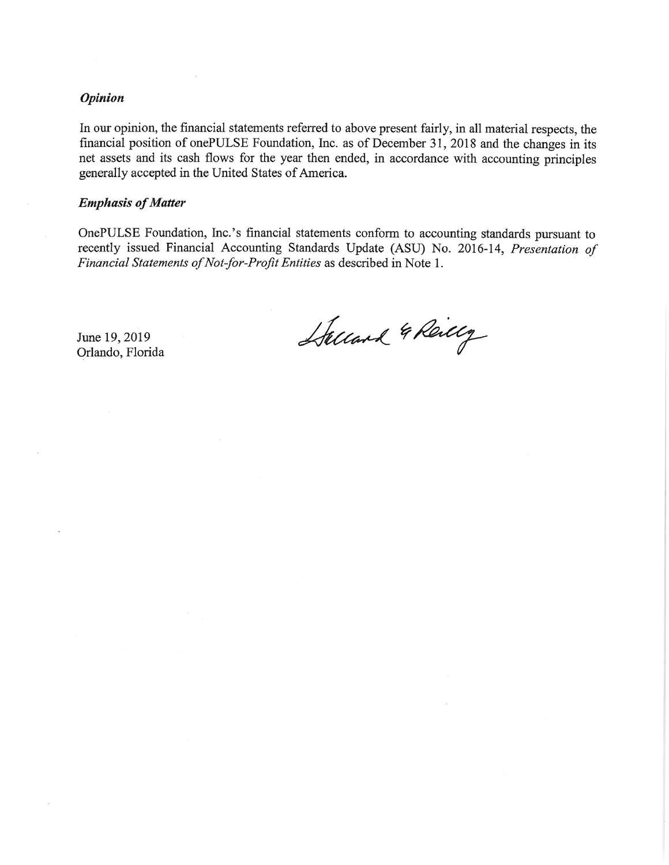#### **Opinion**

In our opinion, the financial statements referred to above present fairly, in all material respects, the financial position of onePULSE Foundation, Inc. as of December 31, 2018 and the changes in its net assets and its cash flows for the year then ended, in accordance with accounting principles generally accepted in the United States of America.

#### **Emphasis of Matter**

OnePULSE Foundation, Inc.'s financial statements conform to accounting standards pursuant to recently issued Financial Accounting Standards Update (ASU) No. 2016-14, Presentation of Financial Statements of Not-for-Profit Entities as described in Note 1.

June 19, 2019 Orlando, Florida

Delland & Reilly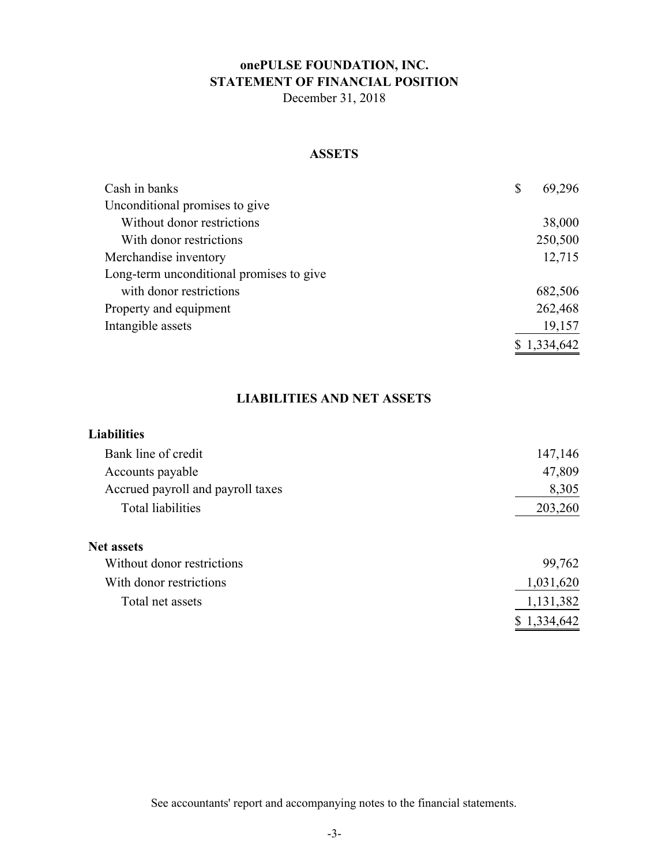# **onePULSE FOUNDATION, INC. STATEMENT OF FINANCIAL POSITION**

December 31, 2018

#### **ASSETS**

| Cash in banks                            | \$<br>69,296 |
|------------------------------------------|--------------|
| Unconditional promises to give           |              |
| Without donor restrictions               | 38,000       |
| With donor restrictions                  | 250,500      |
| Merchandise inventory                    | 12,715       |
| Long-term unconditional promises to give |              |
| with donor restrictions                  | 682,506      |
| Property and equipment                   | 262,468      |
| Intangible assets                        | 19,157       |
|                                          | \$1,334,642  |

## **LIABILITIES AND NET ASSETS**

| <b>Liabilities</b>                |             |
|-----------------------------------|-------------|
| Bank line of credit               | 147,146     |
| Accounts payable                  | 47,809      |
| Accrued payroll and payroll taxes | 8,305       |
| <b>Total liabilities</b>          | 203,260     |
| <b>Net assets</b>                 |             |
| Without donor restrictions        | 99,762      |
| With donor restrictions           | 1,031,620   |
| Total net assets                  | 1,131,382   |
|                                   | \$1,334,642 |

See accountants' report and accompanying notes to the financial statements.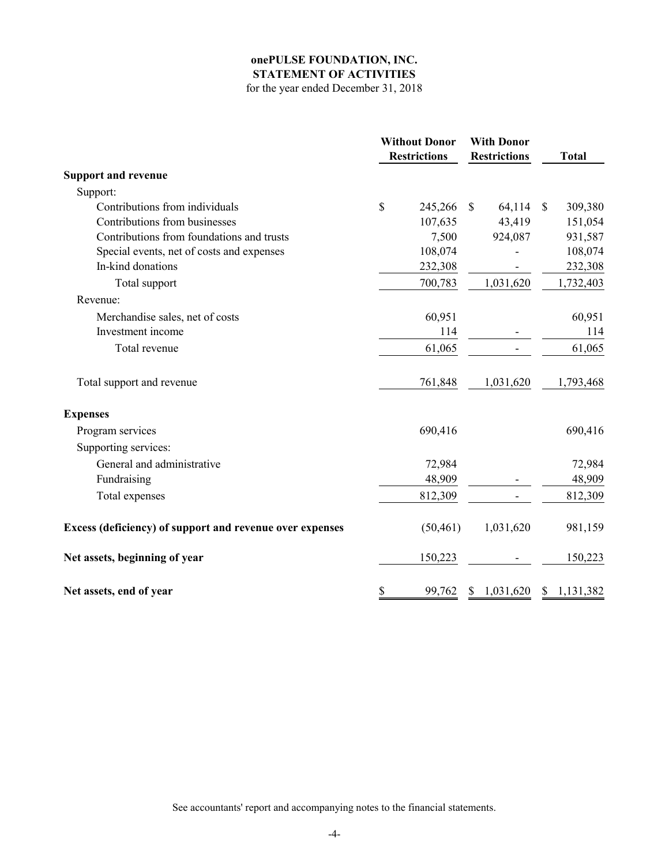#### **onePULSE FOUNDATION, INC. STATEMENT OF ACTIVITIES**

for the year ended December 31, 2018

|                                                          | <b>Without Donor</b><br><b>Restrictions</b> |           | <b>With Donor</b><br><b>Restrictions</b> |           | <b>Total</b>  |             |
|----------------------------------------------------------|---------------------------------------------|-----------|------------------------------------------|-----------|---------------|-------------|
| <b>Support and revenue</b>                               |                                             |           |                                          |           |               |             |
| Support:                                                 |                                             |           |                                          |           |               |             |
| Contributions from individuals                           | $\mathbb{S}$                                | 245,266   | <sup>\$</sup>                            | 64,114    | <sup>\$</sup> | 309,380     |
| Contributions from businesses                            |                                             | 107,635   |                                          | 43,419    |               | 151,054     |
| Contributions from foundations and trusts                |                                             | 7,500     |                                          | 924,087   |               | 931,587     |
| Special events, net of costs and expenses                |                                             | 108,074   |                                          |           |               | 108,074     |
| In-kind donations                                        |                                             | 232,308   |                                          |           |               | 232,308     |
| Total support                                            |                                             | 700,783   |                                          | 1,031,620 |               | 1,732,403   |
| Revenue:                                                 |                                             |           |                                          |           |               |             |
| Merchandise sales, net of costs                          |                                             | 60,951    |                                          |           |               | 60,951      |
| Investment income                                        |                                             | 114       |                                          |           |               | 114         |
| Total revenue                                            |                                             | 61,065    |                                          |           |               | 61,065      |
| Total support and revenue                                |                                             | 761,848   |                                          | 1,031,620 |               | 1,793,468   |
| <b>Expenses</b>                                          |                                             |           |                                          |           |               |             |
| Program services                                         |                                             | 690,416   |                                          |           |               | 690,416     |
| Supporting services:                                     |                                             |           |                                          |           |               |             |
| General and administrative                               |                                             | 72,984    |                                          |           |               | 72,984      |
| Fundraising                                              |                                             | 48,909    |                                          |           |               | 48,909      |
| Total expenses                                           |                                             | 812,309   |                                          |           |               | 812,309     |
| Excess (deficiency) of support and revenue over expenses |                                             | (50, 461) |                                          | 1,031,620 |               | 981,159     |
| Net assets, beginning of year                            |                                             | 150,223   |                                          |           |               | 150,223     |
| Net assets, end of year                                  | \$                                          | 99,762    | \$                                       | 1,031,620 |               | \$1,131,382 |

See accountants' report and accompanying notes to the financial statements.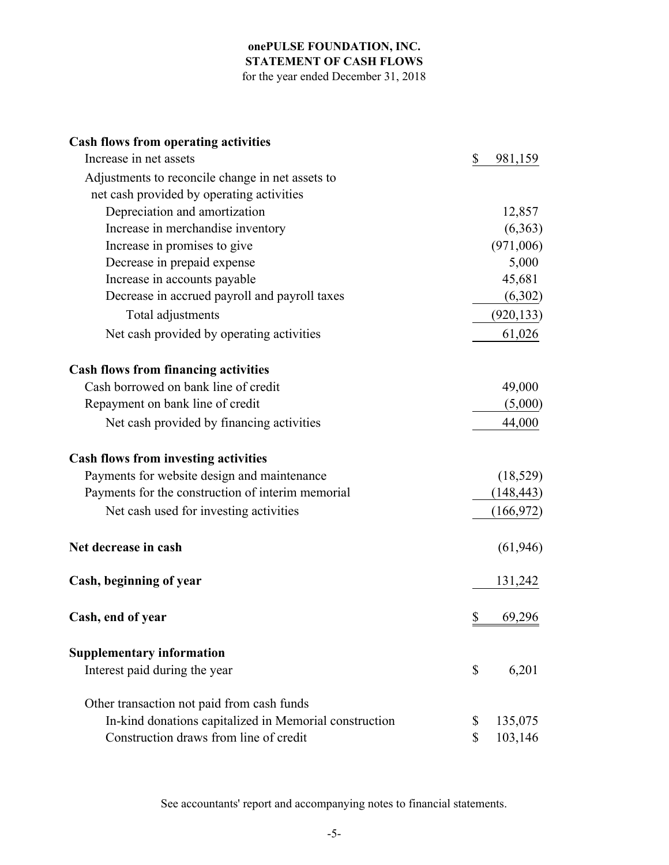# **onePULSE FOUNDATION, INC. STATEMENT OF CASH FLOWS**

for the year ended December 31, 2018

| <b>Cash flows from operating activities</b>            |               |
|--------------------------------------------------------|---------------|
| Increase in net assets                                 | \$<br>981,159 |
| Adjustments to reconcile change in net assets to       |               |
| net cash provided by operating activities              |               |
| Depreciation and amortization                          | 12,857        |
| Increase in merchandise inventory                      | (6,363)       |
| Increase in promises to give                           | (971,006)     |
| Decrease in prepaid expense                            | 5,000         |
| Increase in accounts payable                           | 45,681        |
| Decrease in accrued payroll and payroll taxes          | (6,302)       |
| Total adjustments                                      | (920, 133)    |
| Net cash provided by operating activities              | 61,026        |
| <b>Cash flows from financing activities</b>            |               |
| Cash borrowed on bank line of credit                   | 49,000        |
| Repayment on bank line of credit                       | (5,000)       |
| Net cash provided by financing activities              | 44,000        |
| <b>Cash flows from investing activities</b>            |               |
| Payments for website design and maintenance            | (18, 529)     |
| Payments for the construction of interim memorial      | (148, 443)    |
| Net cash used for investing activities                 | (166, 972)    |
| Net decrease in cash                                   | (61, 946)     |
| Cash, beginning of year                                | 131,242       |
| Cash, end of year                                      | \$<br>69,296  |
| <b>Supplementary information</b>                       |               |
| Interest paid during the year                          | \$<br>6,201   |
| Other transaction not paid from cash funds             |               |
| In-kind donations capitalized in Memorial construction | \$<br>135,075 |
| Construction draws from line of credit                 | 103,146<br>\$ |

See accountants' report and accompanying notes to financial statements.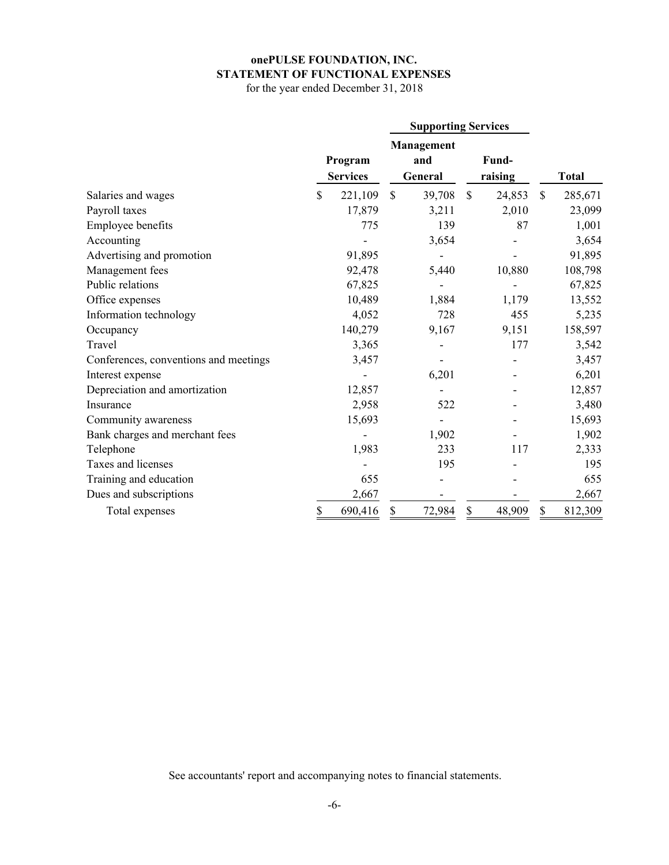## **onePULSE FOUNDATION, INC. STATEMENT OF FUNCTIONAL EXPENSES**

for the year ended December 31, 2018

|                                       |                            | <b>Supporting Services</b> |                                     |               |                  |             |              |
|---------------------------------------|----------------------------|----------------------------|-------------------------------------|---------------|------------------|-------------|--------------|
|                                       | Program<br><b>Services</b> |                            | <b>Management</b><br>and<br>General |               | Fund-<br>raising |             | <b>Total</b> |
| Salaries and wages                    | \$<br>221,109              | $\mathcal{S}$              | 39,708                              | $\mathcal{S}$ | 24,853           | $\mathbf S$ | 285,671      |
| Payroll taxes                         | 17,879                     |                            | 3,211                               |               | 2,010            |             | 23,099       |
| Employee benefits                     | 775                        |                            | 139                                 |               | 87               |             | 1,001        |
| Accounting                            |                            |                            | 3,654                               |               |                  |             | 3,654        |
| Advertising and promotion             | 91,895                     |                            |                                     |               |                  |             | 91,895       |
| Management fees                       | 92,478                     |                            | 5,440                               |               | 10,880           |             | 108,798      |
| Public relations                      | 67,825                     |                            |                                     |               |                  |             | 67,825       |
| Office expenses                       | 10,489                     |                            | 1,884                               |               | 1,179            |             | 13,552       |
| Information technology                | 4,052                      |                            | 728                                 |               | 455              |             | 5,235        |
| Occupancy                             | 140,279                    |                            | 9,167                               |               | 9,151            |             | 158,597      |
| Travel                                | 3,365                      |                            |                                     |               | 177              |             | 3,542        |
| Conferences, conventions and meetings | 3,457                      |                            |                                     |               |                  |             | 3,457        |
| Interest expense                      |                            |                            | 6,201                               |               |                  |             | 6,201        |
| Depreciation and amortization         | 12,857                     |                            |                                     |               |                  |             | 12,857       |
| Insurance                             | 2,958                      |                            | 522                                 |               |                  |             | 3,480        |
| Community awareness                   | 15,693                     |                            |                                     |               |                  |             | 15,693       |
| Bank charges and merchant fees        |                            |                            | 1,902                               |               |                  |             | 1,902        |
| Telephone                             | 1,983                      |                            | 233                                 |               | 117              |             | 2,333        |
| Taxes and licenses                    |                            |                            | 195                                 |               |                  |             | 195          |
| Training and education                | 655                        |                            |                                     |               |                  |             | 655          |
| Dues and subscriptions                | 2,667                      |                            |                                     |               |                  |             | 2,667        |
| Total expenses                        | \$<br>690,416              | \$                         | 72,984                              | \$            | 48,909           | \$          | 812,309      |

See accountants' report and accompanying notes to financial statements.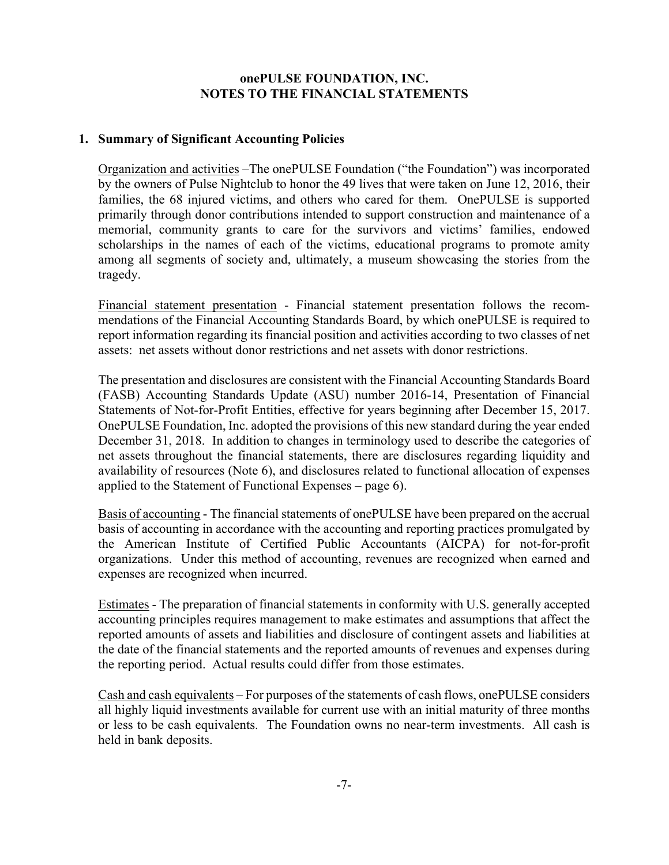#### **1. Summary of Significant Accounting Policies**

 Organization and activities –The onePULSE Foundation ("the Foundation") was incorporated by the owners of Pulse Nightclub to honor the 49 lives that were taken on June 12, 2016, their families, the 68 injured victims, and others who cared for them. OnePULSE is supported primarily through donor contributions intended to support construction and maintenance of a memorial, community grants to care for the survivors and victims' families, endowed scholarships in the names of each of the victims, educational programs to promote amity among all segments of society and, ultimately, a museum showcasing the stories from the tragedy.

 Financial statement presentation - Financial statement presentation follows the recommendations of the Financial Accounting Standards Board, by which onePULSE is required to report information regarding its financial position and activities according to two classes of net assets: net assets without donor restrictions and net assets with donor restrictions.

 The presentation and disclosures are consistent with the Financial Accounting Standards Board (FASB) Accounting Standards Update (ASU) number 2016-14, Presentation of Financial Statements of Not-for-Profit Entities, effective for years beginning after December 15, 2017. OnePULSE Foundation, Inc. adopted the provisions of this new standard during the year ended December 31, 2018. In addition to changes in terminology used to describe the categories of net assets throughout the financial statements, there are disclosures regarding liquidity and availability of resources (Note 6), and disclosures related to functional allocation of expenses applied to the Statement of Functional Expenses – page 6).

 Basis of accounting - The financial statements of onePULSE have been prepared on the accrual basis of accounting in accordance with the accounting and reporting practices promulgated by the American Institute of Certified Public Accountants (AICPA) for not-for-profit organizations. Under this method of accounting, revenues are recognized when earned and expenses are recognized when incurred.

 Estimates - The preparation of financial statements in conformity with U.S. generally accepted accounting principles requires management to make estimates and assumptions that affect the reported amounts of assets and liabilities and disclosure of contingent assets and liabilities at the date of the financial statements and the reported amounts of revenues and expenses during the reporting period. Actual results could differ from those estimates.

 Cash and cash equivalents – For purposes of the statements of cash flows, onePULSE considers all highly liquid investments available for current use with an initial maturity of three months or less to be cash equivalents. The Foundation owns no near-term investments. All cash is held in bank deposits.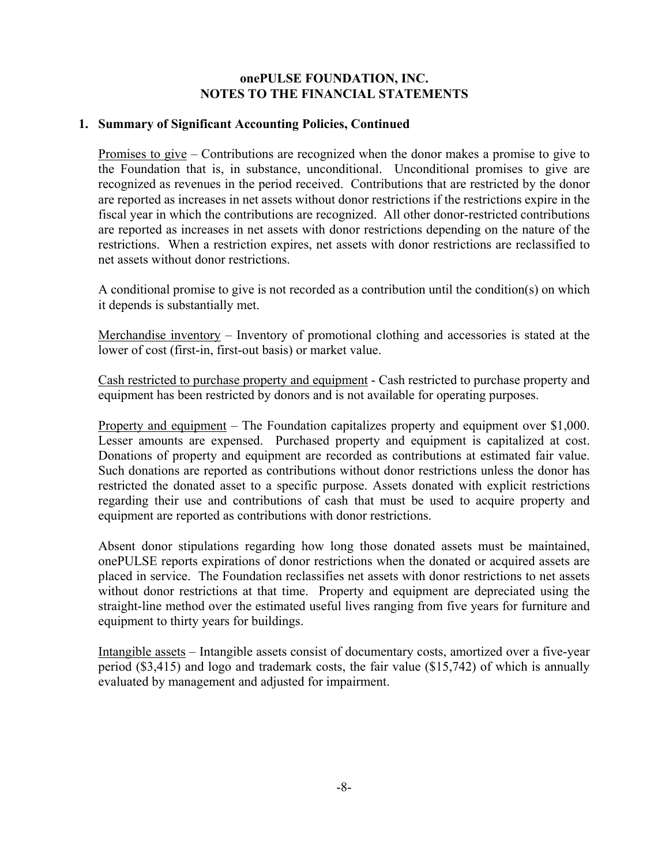#### **1. Summary of Significant Accounting Policies, Continued**

 Promises to give – Contributions are recognized when the donor makes a promise to give to the Foundation that is, in substance, unconditional. Unconditional promises to give are recognized as revenues in the period received. Contributions that are restricted by the donor are reported as increases in net assets without donor restrictions if the restrictions expire in the fiscal year in which the contributions are recognized. All other donor-restricted contributions are reported as increases in net assets with donor restrictions depending on the nature of the restrictions. When a restriction expires, net assets with donor restrictions are reclassified to net assets without donor restrictions.

 A conditional promise to give is not recorded as a contribution until the condition(s) on which it depends is substantially met.

 Merchandise inventory – Inventory of promotional clothing and accessories is stated at the lower of cost (first-in, first-out basis) or market value.

Cash restricted to purchase property and equipment - Cash restricted to purchase property and equipment has been restricted by donors and is not available for operating purposes.

<u>Property and equipment</u> – The Foundation capitalizes property and equipment over \$1,000. Lesser amounts are expensed. Purchased property and equipment is capitalized at cost. Donations of property and equipment are recorded as contributions at estimated fair value. Such donations are reported as contributions without donor restrictions unless the donor has restricted the donated asset to a specific purpose. Assets donated with explicit restrictions regarding their use and contributions of cash that must be used to acquire property and equipment are reported as contributions with donor restrictions.

Absent donor stipulations regarding how long those donated assets must be maintained, onePULSE reports expirations of donor restrictions when the donated or acquired assets are placed in service. The Foundation reclassifies net assets with donor restrictions to net assets without donor restrictions at that time. Property and equipment are depreciated using the straight-line method over the estimated useful lives ranging from five years for furniture and equipment to thirty years for buildings.

Intangible assets – Intangible assets consist of documentary costs, amortized over a five-year period (\$3,415) and logo and trademark costs, the fair value (\$15,742) of which is annually evaluated by management and adjusted for impairment.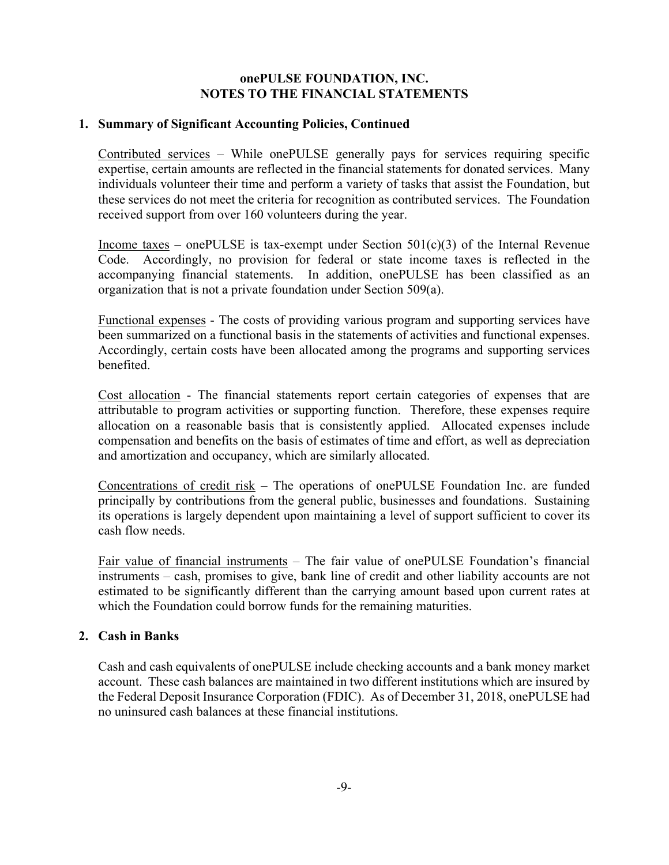#### **1. Summary of Significant Accounting Policies, Continued**

Contributed services – While onePULSE generally pays for services requiring specific expertise, certain amounts are reflected in the financial statements for donated services. Many individuals volunteer their time and perform a variety of tasks that assist the Foundation, but these services do not meet the criteria for recognition as contributed services. The Foundation received support from over 160 volunteers during the year.

Income taxes – onePULSE is tax-exempt under Section  $501(c)(3)$  of the Internal Revenue Code. Accordingly, no provision for federal or state income taxes is reflected in the accompanying financial statements. In addition, onePULSE has been classified as an organization that is not a private foundation under Section 509(a).

Functional expenses - The costs of providing various program and supporting services have been summarized on a functional basis in the statements of activities and functional expenses. Accordingly, certain costs have been allocated among the programs and supporting services benefited.

Cost allocation - The financial statements report certain categories of expenses that are attributable to program activities or supporting function. Therefore, these expenses require allocation on a reasonable basis that is consistently applied. Allocated expenses include compensation and benefits on the basis of estimates of time and effort, as well as depreciation and amortization and occupancy, which are similarly allocated.

Concentrations of credit risk – The operations of onePULSE Foundation Inc. are funded principally by contributions from the general public, businesses and foundations. Sustaining its operations is largely dependent upon maintaining a level of support sufficient to cover its cash flow needs.

Fair value of financial instruments – The fair value of onePULSE Foundation's financial instruments – cash, promises to give, bank line of credit and other liability accounts are not estimated to be significantly different than the carrying amount based upon current rates at which the Foundation could borrow funds for the remaining maturities.

## **2. Cash in Banks**

Cash and cash equivalents of onePULSE include checking accounts and a bank money market account. These cash balances are maintained in two different institutions which are insured by the Federal Deposit Insurance Corporation (FDIC). As of December 31, 2018, onePULSE had no uninsured cash balances at these financial institutions.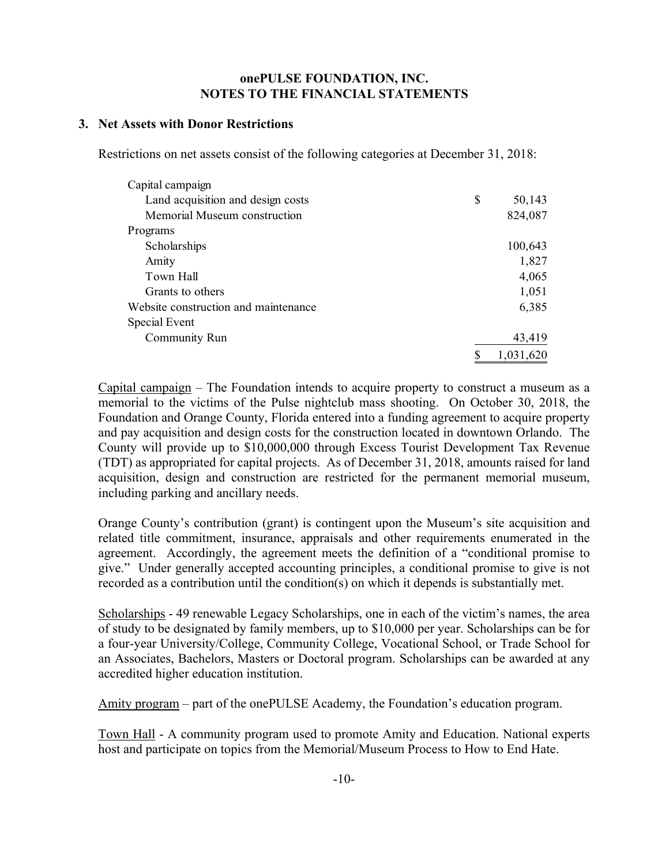#### **3. Net Assets with Donor Restrictions**

Restrictions on net assets consist of the following categories at December 31, 2018:

| Capital campaign                     |              |
|--------------------------------------|--------------|
| Land acquisition and design costs    | \$<br>50,143 |
| Memorial Museum construction         | 824,087      |
| Programs                             |              |
| Scholarships                         | 100,643      |
| Amity                                | 1,827        |
| Town Hall                            | 4,065        |
| Grants to others                     | 1,051        |
| Website construction and maintenance | 6,385        |
| Special Event                        |              |
| Community Run                        | 43,419       |
|                                      | 1,031,620    |

Capital campaign  $-$  The Foundation intends to acquire property to construct a museum as a memorial to the victims of the Pulse nightclub mass shooting. On October 30, 2018, the Foundation and Orange County, Florida entered into a funding agreement to acquire property and pay acquisition and design costs for the construction located in downtown Orlando. The County will provide up to \$10,000,000 through Excess Tourist Development Tax Revenue (TDT) as appropriated for capital projects. As of December 31, 2018, amounts raised for land acquisition, design and construction are restricted for the permanent memorial museum, including parking and ancillary needs.

Orange County's contribution (grant) is contingent upon the Museum's site acquisition and related title commitment, insurance, appraisals and other requirements enumerated in the agreement. Accordingly, the agreement meets the definition of a "conditional promise to give." Under generally accepted accounting principles, a conditional promise to give is not recorded as a contribution until the condition(s) on which it depends is substantially met.

Scholarships - 49 renewable Legacy Scholarships, one in each of the victim's names, the area of study to be designated by family members, up to \$10,000 per year. Scholarships can be for a four-year University/College, Community College, Vocational School, or Trade School for an Associates, Bachelors, Masters or Doctoral program. Scholarships can be awarded at any accredited higher education institution.

Amity program – part of the onePULSE Academy, the Foundation's education program.

Town Hall - A community program used to promote Amity and Education. National experts host and participate on topics from the Memorial/Museum Process to How to End Hate.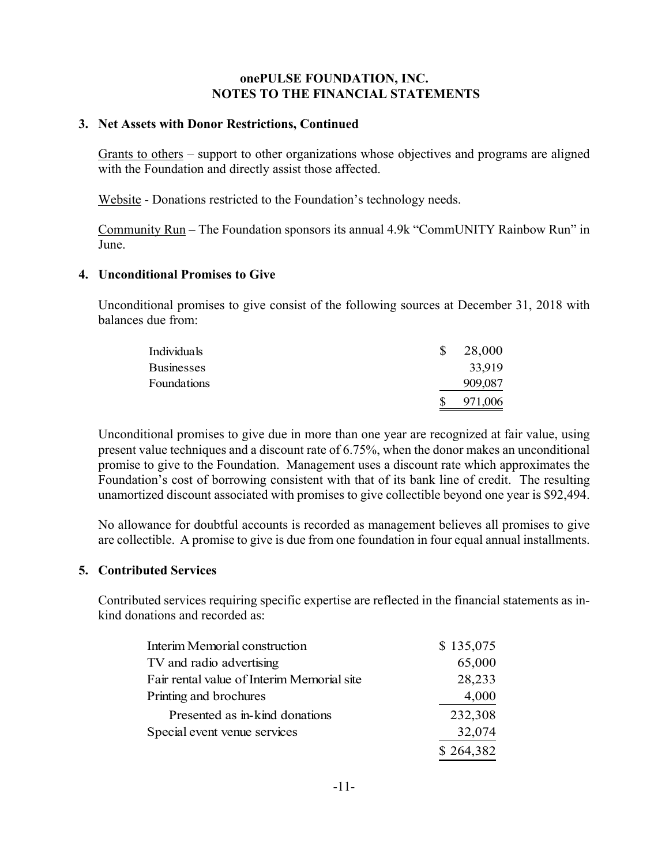#### **3. Net Assets with Donor Restrictions, Continued**

Grants to others – support to other organizations whose objectives and programs are aligned with the Foundation and directly assist those affected.

Website - Donations restricted to the Foundation's technology needs.

Community Run – The Foundation sponsors its annual 4.9k "CommUNITY Rainbow Run" in June.

#### **4. Unconditional Promises to Give**

Unconditional promises to give consist of the following sources at December 31, 2018 with balances due from:

| Individuals       | 28,000  |
|-------------------|---------|
| <b>Businesses</b> | 33,919  |
| Foundations       | 909,087 |
|                   | 971,006 |

Unconditional promises to give due in more than one year are recognized at fair value, using present value techniques and a discount rate of 6.75%, when the donor makes an unconditional promise to give to the Foundation. Management uses a discount rate which approximates the Foundation's cost of borrowing consistent with that of its bank line of credit. The resulting unamortized discount associated with promises to give collectible beyond one year is \$92,494.

No allowance for doubtful accounts is recorded as management believes all promises to give are collectible. A promise to give is due from one foundation in four equal annual installments.

## **5. Contributed Services**

Contributed services requiring specific expertise are reflected in the financial statements as inkind donations and recorded as:

| Interim Memorial construction              | \$135,075 |
|--------------------------------------------|-----------|
| TV and radio advertising                   | 65,000    |
| Fair rental value of Interim Memorial site | 28,233    |
| Printing and brochures                     | 4,000     |
| Presented as in-kind donations             | 232,308   |
| Special event venue services               | 32,074    |
|                                            | \$264,382 |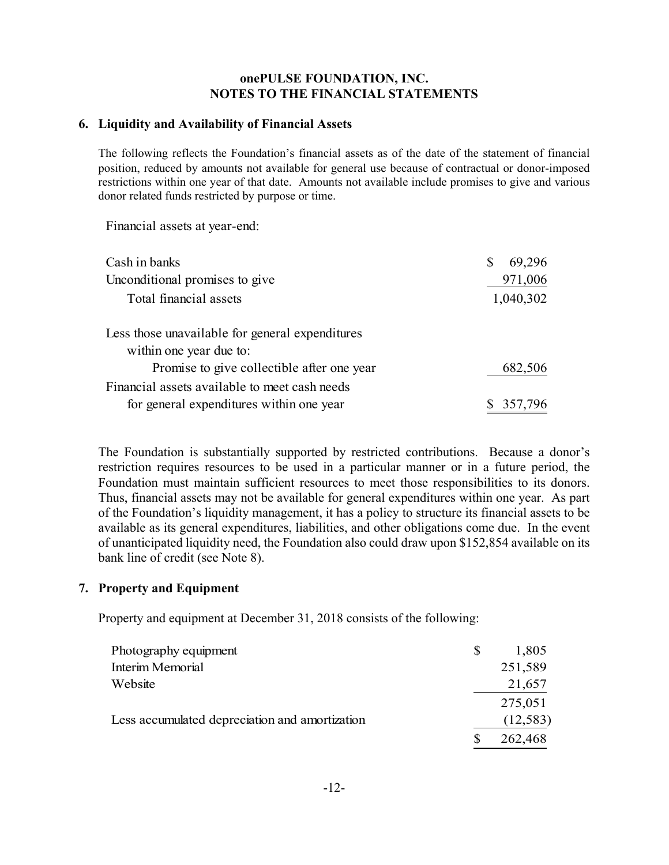#### **6. Liquidity and Availability of Financial Assets**

The following reflects the Foundation's financial assets as of the date of the statement of financial position, reduced by amounts not available for general use because of contractual or donor-imposed restrictions within one year of that date. Amounts not available include promises to give and various donor related funds restricted by purpose or time.

Financial assets at year-end:

| Cash in banks                                   | 69,296<br>S |
|-------------------------------------------------|-------------|
| Unconditional promises to give                  | 971,006     |
| Total financial assets                          | 1,040,302   |
| Less those unavailable for general expenditures |             |
| within one year due to:                         |             |
| Promise to give collectible after one year      | 682,506     |
| Financial assets available to meet cash needs   |             |
| for general expenditures within one year        | \$357,796   |

The Foundation is substantially supported by restricted contributions. Because a donor's restriction requires resources to be used in a particular manner or in a future period, the Foundation must maintain sufficient resources to meet those responsibilities to its donors. Thus, financial assets may not be available for general expenditures within one year. As part of the Foundation's liquidity management, it has a policy to structure its financial assets to be available as its general expenditures, liabilities, and other obligations come due. In the event of unanticipated liquidity need, the Foundation also could draw upon \$152,854 available on its bank line of credit (see Note 8).

#### **7. Property and Equipment**

Property and equipment at December 31, 2018 consists of the following:

| Photography equipment                          | 1,805    |
|------------------------------------------------|----------|
| Interim Memorial                               | 251,589  |
| Website                                        | 21,657   |
|                                                | 275,051  |
| Less accumulated depreciation and amortization | (12,583) |
|                                                | 262,468  |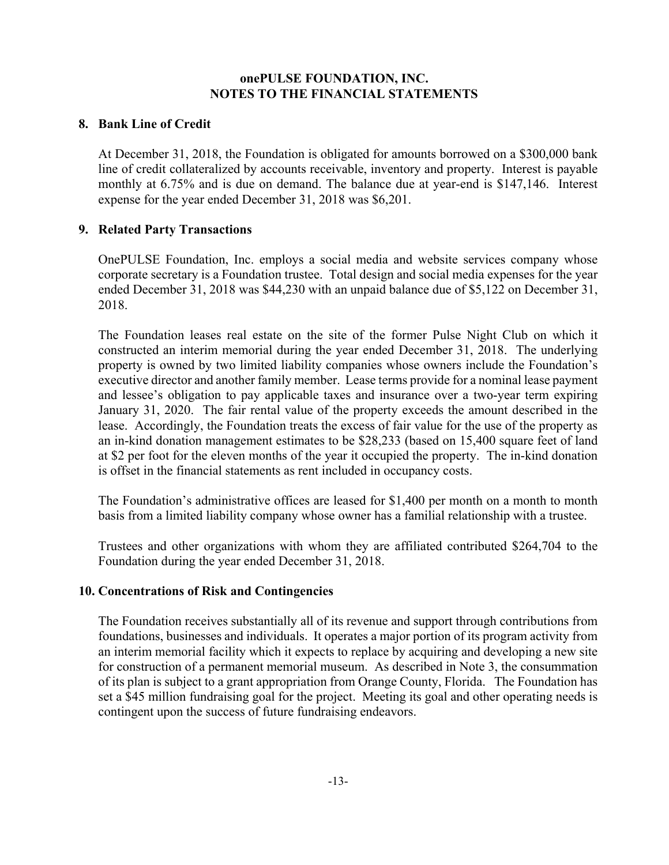#### **8. Bank Line of Credit**

At December 31, 2018, the Foundation is obligated for amounts borrowed on a \$300,000 bank line of credit collateralized by accounts receivable, inventory and property. Interest is payable monthly at 6.75% and is due on demand. The balance due at year-end is \$147,146. Interest expense for the year ended December 31, 2018 was \$6,201.

## **9. Related Party Transactions**

OnePULSE Foundation, Inc. employs a social media and website services company whose corporate secretary is a Foundation trustee. Total design and social media expenses for the year ended December 31, 2018 was \$44,230 with an unpaid balance due of \$5,122 on December 31, 2018.

The Foundation leases real estate on the site of the former Pulse Night Club on which it constructed an interim memorial during the year ended December 31, 2018. The underlying property is owned by two limited liability companies whose owners include the Foundation's executive director and another family member. Lease terms provide for a nominal lease payment and lessee's obligation to pay applicable taxes and insurance over a two-year term expiring January 31, 2020. The fair rental value of the property exceeds the amount described in the lease. Accordingly, the Foundation treats the excess of fair value for the use of the property as an in-kind donation management estimates to be \$28,233 (based on 15,400 square feet of land at \$2 per foot for the eleven months of the year it occupied the property. The in-kind donation is offset in the financial statements as rent included in occupancy costs.

The Foundation's administrative offices are leased for \$1,400 per month on a month to month basis from a limited liability company whose owner has a familial relationship with a trustee.

Trustees and other organizations with whom they are affiliated contributed \$264,704 to the Foundation during the year ended December 31, 2018.

## **10. Concentrations of Risk and Contingencies**

The Foundation receives substantially all of its revenue and support through contributions from foundations, businesses and individuals. It operates a major portion of its program activity from an interim memorial facility which it expects to replace by acquiring and developing a new site for construction of a permanent memorial museum. As described in Note 3, the consummation of its plan is subject to a grant appropriation from Orange County, Florida. The Foundation has set a \$45 million fundraising goal for the project. Meeting its goal and other operating needs is contingent upon the success of future fundraising endeavors.